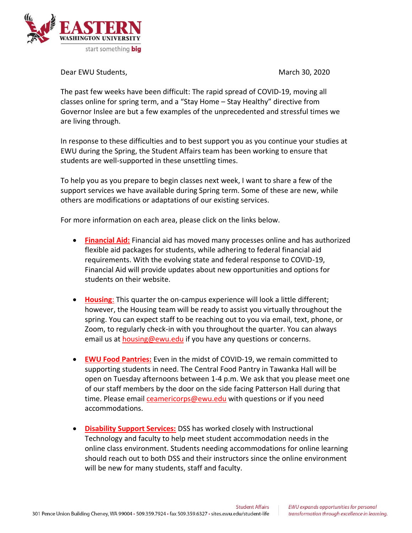

Dear EWU Students, National Students, National Students, National Students, National Students, National Students, N

The past few weeks have been difficult: The rapid spread of COVID-19, moving all classes online for spring term, and a "Stay Home – Stay Healthy" directive from Governor Inslee are but a few examples of the unprecedented and stressful times we are living through.

In response to these difficulties and to best support you as you continue your studies at EWU during the Spring, the Student Affairs team has been working to ensure that students are well-supported in these unsettling times.

To help you as you prepare to begin classes next week, I want to share a few of the support services we have available during Spring term. Some of these are new, while others are modifications or adaptations of our existing services.

For more information on each area, please click on the links below.

- **[Financial Aid:](https://www.ewu.edu/apply/financial-aid-scholarships-office/)** Financial aid has moved many processes online and has authorized flexible aid packages for students, while adhering to federal financial aid requirements. With the evolving state and federal response to COVID-19, Financial Aid will provide updates about new opportunities and options for students on their website.
- **[Housing](mailto:housing@ewu.edu)**: This quarter the on-campus experience will look a little different; however, the Housing team will be ready to assist you virtually throughout the spring. You can expect staff to be reaching out to you via email, text, phone, or Zoom, to regularly check-in with you throughout the quarter. You can always email us at **[housing@ewu.edu](mailto:housing@ewu.edu)** if you have any questions or concerns.
- **[EWU Food Pantries:](mailto:ceamericorps@ewu.edu)** Even in the midst of COVID-19, we remain committed to supporting students in need. The Central Food Pantry in Tawanka Hall will be open on Tuesday afternoons between 1-4 p.m. We ask that you please meet one of our staff members by the door on the side facing Patterson Hall during that time. Please emai[l ceamericorps@ewu.edu](mailto:ceamericorps@ewu.edu) with questions or if you need accommodations.
- **[Disability Support Services:](https://inside.ewu.edu/dss/)** DSS has worked closely with Instructional Technology and faculty to help meet student accommodation needs in the online class environment. Students needing accommodations for online learning should reach out to both DSS and their instructors since the online environment will be new for many students, staff and faculty.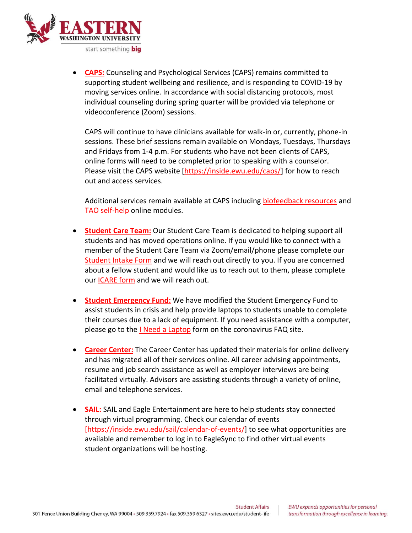

• **[CAPS:](https://inside.ewu.edu/caps/services/overview/)** Counseling and Psychological Services (CAPS) remains committed to supporting student wellbeing and resilience, and is responding to COVID-19 by moving services online. In accordance with social distancing protocols, most individual counseling during spring quarter will be provided via telephone or videoconference (Zoom) sessions.

CAPS will continue to have clinicians available for walk-in or, currently, phone-in sessions. These brief sessions remain available on Mondays, Tuesdays, Thursdays and Fridays from 1-4 p.m. For students who have not been clients of CAPS, online forms will need to be completed prior to speaking with a counselor. Please visit the CAPS website [\[https://inside.ewu.edu/caps/\]](https://inside.ewu.edu/caps/) for how to reach out and access services.

Additional services remain available at CAPS including [biofeedback resources](https://inside.ewu.edu/caps/services/biofeedback/) and [TAO self-help](https://inside.ewu.edu/caps/services/tao/) online modules.

- **[Student Care](https://inside.ewu.edu/student-support-advocacy/) Team:** Our Student Care Team is dedicated to helping support all students and has moved operations online. If you would like to connect with a member of the Student Care Team via Zoom/email/phone please complete our [Student Intake Form](https://cm.maxient.com/reportingform.php?EasternWashingtonUniv&layout_id=4) and we will reach out directly to you. If you are concerned about a fellow student and would like us to reach out to them, please complete our [ICARE form](https://cm.maxient.com/reportingform.php?EasternWashingtonUniv&layout_id=100) and we will reach out.
- **[Student Emergency Fund:](https://inside.ewu.edu/student-support-advocacy/student-emergency-fund/)** We have modified the Student Emergency Fund to assist students in crisis and help provide laptops to students unable to complete their courses due to a lack of equipment. If you need assistance with a computer, please go to the *I Need a Laptop* form on the coronavirus FAQ site.
- **[Career Center:](https://inside.ewu.edu/careercenter/)** The Career Center has updated their materials for online delivery and has migrated all of their services online. All career advising appointments, resume and job search assistance as well as employer interviews are being facilitated virtually. Advisors are assisting students through a variety of online, email and telephone services.
- **[SAIL:](https://inside.ewu.edu/sail/)** SAIL and Eagle Entertainment are here to help students stay connected through virtual programming. Check our calendar of events [\[https://inside.ewu.edu/sail/calendar-of-events/\]](https://inside.ewu.edu/sail/calendar-of-events/) to see what opportunities are available and remember to log in to EagleSync to find other virtual events student organizations will be hosting.